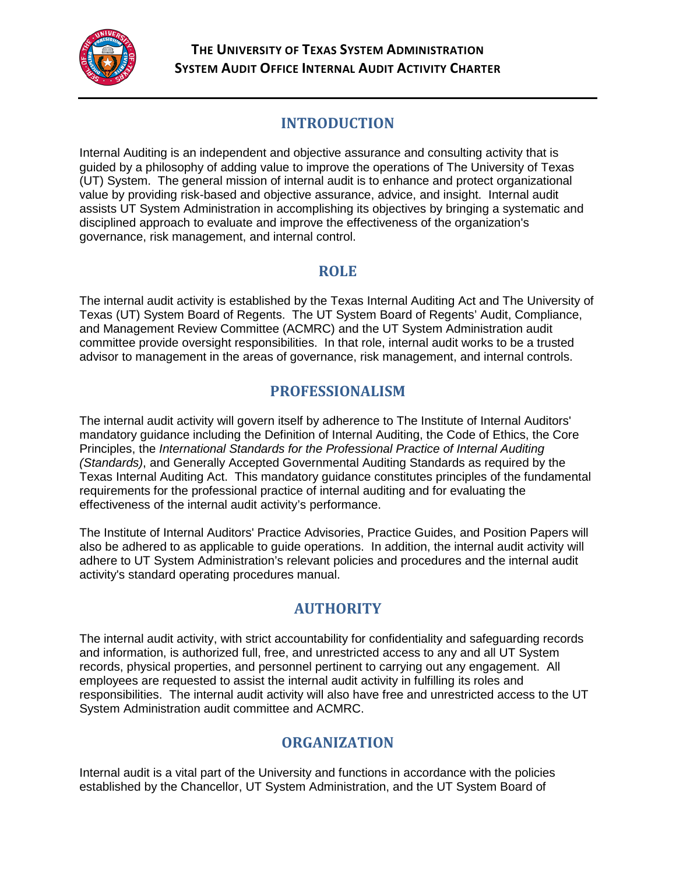

## **INTRODUCTION**

Internal Auditing is an independent and objective assurance and consulting activity that is guided by a philosophy of adding value to improve the operations of The University of Texas (UT) System. The general mission of internal audit is to enhance and protect organizational value by providing risk-based and objective assurance, advice, and insight. Internal audit assists UT System Administration in accomplishing its objectives by bringing a systematic and disciplined approach to evaluate and improve the effectiveness of the organization's governance, risk management, and internal control.

### **ROLE**

The internal audit activity is established by the Texas Internal Auditing Act and The University of Texas (UT) System Board of Regents. The UT System Board of Regents' Audit, Compliance, and Management Review Committee (ACMRC) and the UT System Administration audit committee provide oversight responsibilities. In that role, internal audit works to be a trusted advisor to management in the areas of governance, risk management, and internal controls.

### **PROFESSIONALISM**

The internal audit activity will govern itself by adherence to The Institute of Internal Auditors' mandatory guidance including the Definition of Internal Auditing, the Code of Ethics, the Core Principles, the *International Standards for the Professional Practice of Internal Auditing (Standards)*, and Generally Accepted Governmental Auditing Standards as required by the Texas Internal Auditing Act. This mandatory guidance constitutes principles of the fundamental requirements for the professional practice of internal auditing and for evaluating the effectiveness of the internal audit activity's performance.

The Institute of Internal Auditors' Practice Advisories, Practice Guides, and Position Papers will also be adhered to as applicable to guide operations. In addition, the internal audit activity will adhere to UT System Administration's relevant policies and procedures and the internal audit activity's standard operating procedures manual.

# **AUTHORITY**

The internal audit activity, with strict accountability for confidentiality and safeguarding records and information, is authorized full, free, and unrestricted access to any and all UT System records, physical properties, and personnel pertinent to carrying out any engagement. All employees are requested to assist the internal audit activity in fulfilling its roles and responsibilities. The internal audit activity will also have free and unrestricted access to the UT System Administration audit committee and ACMRC.

## **ORGANIZATION**

Internal audit is a vital part of the University and functions in accordance with the policies established by the Chancellor, UT System Administration, and the UT System Board of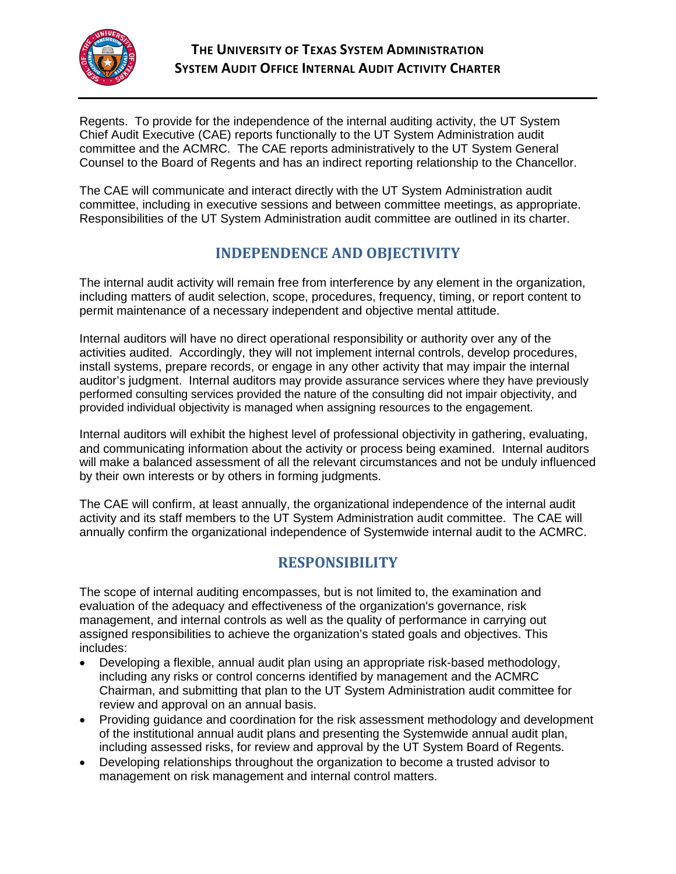

Regents. To provide for the independence of the internal auditing activity, the UT System Chief Audit Executive (CAE) reports functionally to the UT System Administration audit committee and the ACMRC. The CAE reports administratively to the UT System General Counsel to the Board of Regents and has an indirect reporting relationship to the Chancellor.

The CAE will communicate and interact directly with the UT System Administration audit committee, including in executive sessions and between committee meetings, as appropriate. Responsibilities of the UT System Administration audit committee are outlined in its charter.

## **INDEPENDENCE AND OBJECTIVITY**

The internal audit activity will remain free from interference by any element in the organization, including matters of audit selection, scope, procedures, frequency, timing, or report content to permit maintenance of a necessary independent and objective mental attitude.

Internal auditors will have no direct operational responsibility or authority over any of the activities audited. Accordingly, they will not implement internal controls, develop procedures, install systems, prepare records, or engage in any other activity that may impair the internal auditor's judgment. Internal auditors may provide assurance services where they have previously performed consulting services provided the nature of the consulting did not impair objectivity, and provided individual objectivity is managed when assigning resources to the engagement.

Internal auditors will exhibit the highest level of professional objectivity in gathering, evaluating, and communicating information about the activity or process being examined. Internal auditors will make a balanced assessment of all the relevant circumstances and not be unduly influenced by their own interests or by others in forming judgments.

The CAE will confirm, at least annually, the organizational independence of the internal audit activity and its staff members to the UT System Administration audit committee. The CAE will annually confirm the organizational independence of Systemwide internal audit to the ACMRC.

# **RESPONSIBILITY**

The scope of internal auditing encompasses, but is not limited to, the examination and evaluation of the adequacy and effectiveness of the organization's governance, risk management, and internal controls as well as the quality of performance in carrying out assigned responsibilities to achieve the organization's stated goals and objectives. This includes:

- Developing a flexible, annual audit plan using an appropriate risk-based methodology, including any risks or control concerns identified by management and the ACMRC Chairman, and submitting that plan to the UT System Administration audit committee for review and approval on an annual basis.
- Providing guidance and coordination for the risk assessment methodology and development of the institutional annual audit plans and presenting the Systemwide annual audit plan, including assessed risks, for review and approval by the UT System Board of Regents.
- Developing relationships throughout the organization to become a trusted advisor to management on risk management and internal control matters.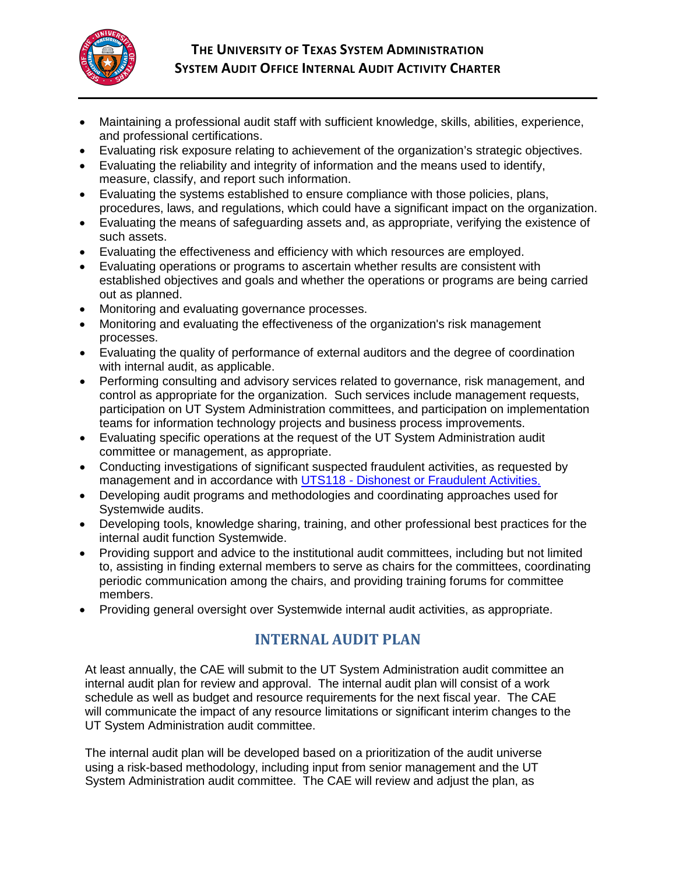

- Maintaining a professional audit staff with sufficient knowledge, skills, abilities, experience, and professional certifications.
- Evaluating risk exposure relating to achievement of the organization's strategic objectives.
- Evaluating the reliability and integrity of information and the means used to identify, measure, classify, and report such information.
- Evaluating the systems established to ensure compliance with those policies, plans, procedures, laws, and regulations, which could have a significant impact on the organization.
- Evaluating the means of safeguarding assets and, as appropriate, verifying the existence of such assets.
- Evaluating the effectiveness and efficiency with which resources are employed.
- Evaluating operations or programs to ascertain whether results are consistent with established objectives and goals and whether the operations or programs are being carried out as planned.
- Monitoring and evaluating governance processes.
- Monitoring and evaluating the effectiveness of the organization's risk management processes.
- Evaluating the quality of performance of external auditors and the degree of coordination with internal audit, as applicable.
- Performing consulting and advisory services related to governance, risk management, and control as appropriate for the organization. Such services include management requests, participation on UT System Administration committees, and participation on implementation teams for information technology projects and business process improvements.
- Evaluating specific operations at the request of the UT System Administration audit committee or management, as appropriate.
- Conducting investigations of significant suspected fraudulent activities, as requested by management and in accordance with UTS118 - [Dishonest or Fraudulent Activities.](http://www.utsystem.edu/board-of-regents/policy-library/policies/uts118-dishonest-or-fraudulent-activities)
- Developing audit programs and methodologies and coordinating approaches used for Systemwide audits.
- Developing tools, knowledge sharing, training, and other professional best practices for the internal audit function Systemwide.
- Providing support and advice to the institutional audit committees, including but not limited to, assisting in finding external members to serve as chairs for the committees, coordinating periodic communication among the chairs, and providing training forums for committee members.
- Providing general oversight over Systemwide internal audit activities, as appropriate.

## **INTERNAL AUDIT PLAN**

At least annually, the CAE will submit to the UT System Administration audit committee an internal audit plan for review and approval. The internal audit plan will consist of a work schedule as well as budget and resource requirements for the next fiscal year. The CAE will communicate the impact of any resource limitations or significant interim changes to the UT System Administration audit committee.

The internal audit plan will be developed based on a prioritization of the audit universe using a risk-based methodology, including input from senior management and the UT System Administration audit committee. The CAE will review and adjust the plan, as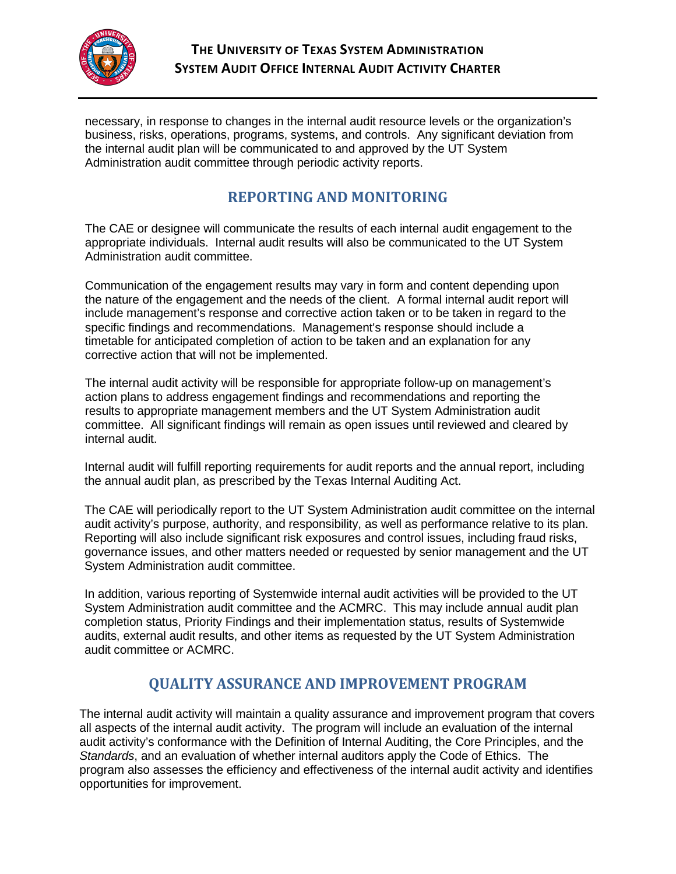

necessary, in response to changes in the internal audit resource levels or the organization's business, risks, operations, programs, systems, and controls. Any significant deviation from the internal audit plan will be communicated to and approved by the UT System Administration audit committee through periodic activity reports.

### **REPORTING AND MONITORING**

The CAE or designee will communicate the results of each internal audit engagement to the appropriate individuals. Internal audit results will also be communicated to the UT System Administration audit committee.

Communication of the engagement results may vary in form and content depending upon the nature of the engagement and the needs of the client. A formal internal audit report will include management's response and corrective action taken or to be taken in regard to the specific findings and recommendations. Management's response should include a timetable for anticipated completion of action to be taken and an explanation for any corrective action that will not be implemented.

The internal audit activity will be responsible for appropriate follow-up on management's action plans to address engagement findings and recommendations and reporting the results to appropriate management members and the UT System Administration audit committee. All significant findings will remain as open issues until reviewed and cleared by internal audit.

Internal audit will fulfill reporting requirements for audit reports and the annual report, including the annual audit plan, as prescribed by the Texas Internal Auditing Act.

The CAE will periodically report to the UT System Administration audit committee on the internal audit activity's purpose, authority, and responsibility, as well as performance relative to its plan. Reporting will also include significant risk exposures and control issues, including fraud risks, governance issues, and other matters needed or requested by senior management and the UT System Administration audit committee.

In addition, various reporting of Systemwide internal audit activities will be provided to the UT System Administration audit committee and the ACMRC. This may include annual audit plan completion status, Priority Findings and their implementation status, results of Systemwide audits, external audit results, and other items as requested by the UT System Administration audit committee or ACMRC.

## **QUALITY ASSURANCE AND IMPROVEMENT PROGRAM**

The internal audit activity will maintain a quality assurance and improvement program that covers all aspects of the internal audit activity. The program will include an evaluation of the internal audit activity's conformance with the Definition of Internal Auditing, the Core Principles, and the *Standards*, and an evaluation of whether internal auditors apply the Code of Ethics. The program also assesses the efficiency and effectiveness of the internal audit activity and identifies opportunities for improvement.